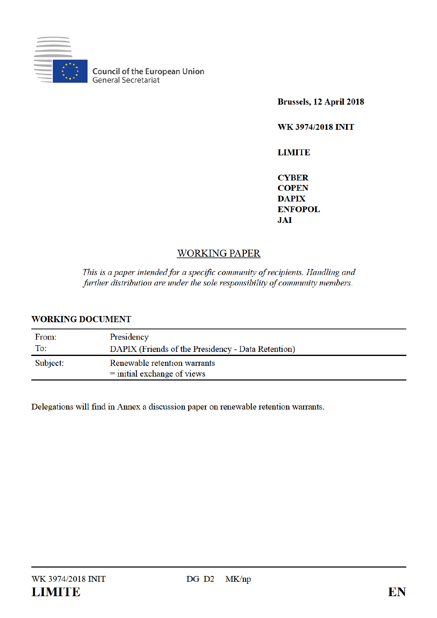

**Council of the European Union**<br>General Secretariat

Brussels, 12 April 2018

WK 3974/2018 INIT

**LIMITE** 

**CYBER COPEN DAPIX ENFOPOL JAI** 

# **WORKING PAPER**

This is a paper intended for a specific community of recipients. Handling and further distribution are under the sole responsibility of community members.

## **WORKING DOCUMENT**

| From:    | Presidency                                                    |
|----------|---------------------------------------------------------------|
| To:      | DAPIX (Friends of the Presidency - Data Retention)            |
| Subject: | Renewable retention warrants<br>$=$ initial exchange of views |

Delegations will find in Annex a discussion paper on renewable retention warrants.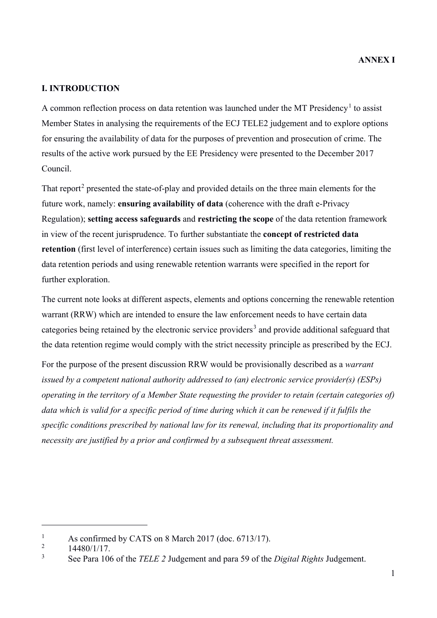## **I. INTRODUCTION**

A common reflection process on data retention was launched under the MT Presidency<sup>1</sup> to assist Member States in analysing the requirements of the ECJ TELE2 judgement and to explore options for ensuring the availability of data for the purposes of prevention and prosecution of crime. The results of the active work pursued by the EE Presidency were presented to the December 2017 Council.

That report<sup>2</sup> presented the state-of-play and provided details on the three main elements for the future work, namely: **ensuring availability of data** (coherence with the draft e-Privacy Regulation); **setting access safeguards** and **restricting the scope** of the data retention framework in view of the recent jurisprudence. To further substantiate the **concept of restricted data retention** (first level of interference) certain issues such as limiting the data categories, limiting the data retention periods and using renewable retention warrants were specified in the report for further exploration.

The current note looks at different aspects, elements and options concerning the renewable retention warrant (RRW) which are intended to ensure the law enforcement needs to have certain data categories being retained by the electronic service providers<sup>3</sup> and provide additional safeguard that the data retention regime would comply with the strict necessity principle as prescribed by the ECJ.

For the purpose of the present discussion RRW would be provisionally described as a *warrant issued by a competent national authority addressed to (an) electronic service provider(s) (ESPs) operating in the territory of a Member State requesting the provider to retain (certain categories of) data which is valid for a specific period of time during which it can be renewed if it fulfils the specific conditions prescribed by national law for its renewal, including that its proportionality and necessity are justified by a prior and confirmed by a subsequent threat assessment.*

 $\overline{a}$ 

<sup>1</sup> As confirmed by CATS on 8 March 2017 (doc. 6713/17).

<sup>2</sup> 14480/1/17.

<sup>3</sup> See Para 106 of the *TELE 2* Judgement and para 59 of the *Digital Rights* Judgement.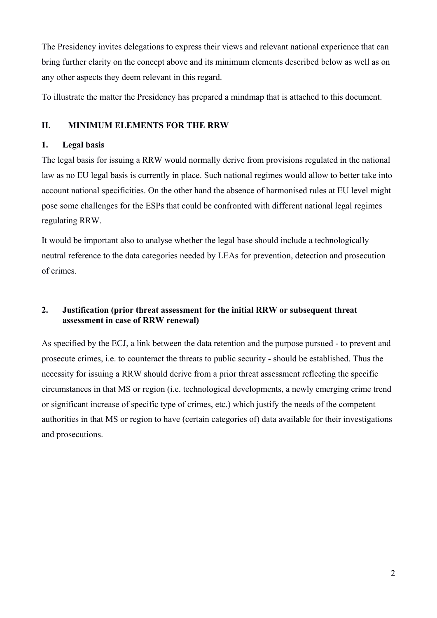The Presidency invites delegations to express their views and relevant national experience that can bring further clarity on the concept above and its minimum elements described below as well as on any other aspects they deem relevant in this regard.

To illustrate the matter the Presidency has prepared a mindmap that is attached to this document.

## **II. MINIMUM ELEMENTS FOR THE RRW**

### **1. Legal basis**

The legal basis for issuing a RRW would normally derive from provisions regulated in the national law as no EU legal basis is currently in place. Such national regimes would allow to better take into account national specificities. On the other hand the absence of harmonised rules at EU level might pose some challenges for the ESPs that could be confronted with different national legal regimes regulating RRW.

It would be important also to analyse whether the legal base should include a technologically neutral reference to the data categories needed by LEAs for prevention, detection and prosecution of crimes.

## **2. Justification (prior threat assessment for the initial RRW or subsequent threat assessment in case of RRW renewal)**

As specified by the ECJ, a link between the data retention and the purpose pursued - to prevent and prosecute crimes, i.e. to counteract the threats to public security - should be established. Thus the necessity for issuing a RRW should derive from a prior threat assessment reflecting the specific circumstances in that MS or region (i.e. technological developments, a newly emerging crime trend or significant increase of specific type of crimes, etc.) which justify the needs of the competent authorities in that MS or region to have (certain categories of) data available for their investigations and prosecutions.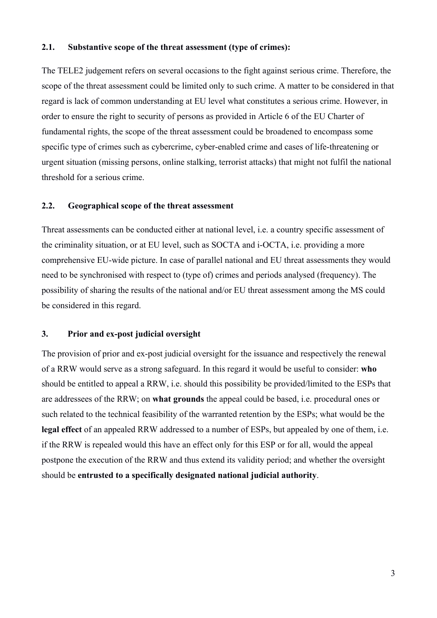#### **2.1. Substantive scope of the threat assessment (type of crimes):**

The TELE2 judgement refers on several occasions to the fight against serious crime. Therefore, the scope of the threat assessment could be limited only to such crime. A matter to be considered in that regard is lack of common understanding at EU level what constitutes a serious crime. However, in order to ensure the right to security of persons as provided in Article 6 of the EU Charter of fundamental rights, the scope of the threat assessment could be broadened to encompass some specific type of crimes such as cybercrime, cyber-enabled crime and cases of life-threatening or urgent situation (missing persons, online stalking, terrorist attacks) that might not fulfil the national threshold for a serious crime.

### **2.2. Geographical scope of the threat assessment**

Threat assessments can be conducted either at national level, i.e. a country specific assessment of the criminality situation, or at EU level, such as SOCTA and i-OCTA, i.e. providing a more comprehensive EU-wide picture. In case of parallel national and EU threat assessments they would need to be synchronised with respect to (type of) crimes and periods analysed (frequency). The possibility of sharing the results of the national and/or EU threat assessment among the MS could be considered in this regard.

#### **3. Prior and ex-post judicial oversight**

The provision of prior and ex-post judicial oversight for the issuance and respectively the renewal of a RRW would serve as a strong safeguard. In this regard it would be useful to consider: **who** should be entitled to appeal a RRW, i.e. should this possibility be provided/limited to the ESPs that are addressees of the RRW; on **what grounds** the appeal could be based, i.e. procedural ones or such related to the technical feasibility of the warranted retention by the ESPs; what would be the **legal effect** of an appealed RRW addressed to a number of ESPs, but appealed by one of them, i.e. if the RRW is repealed would this have an effect only for this ESP or for all, would the appeal postpone the execution of the RRW and thus extend its validity period; and whether the oversight should be **entrusted to a specifically designated national judicial authority**.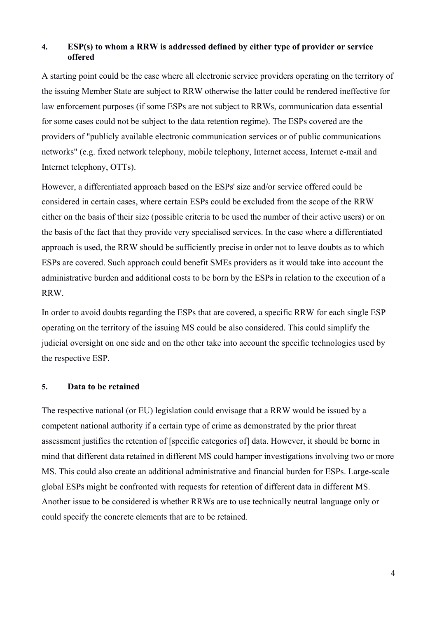### **4. ESP(s) to whom a RRW is addressed defined by either type of provider or service offered**

A starting point could be the case where all electronic service providers operating on the territory of the issuing Member State are subject to RRW otherwise the latter could be rendered ineffective for law enforcement purposes (if some ESPs are not subject to RRWs, communication data essential for some cases could not be subject to the data retention regime). The ESPs covered are the providers of "publicly available electronic communication services or of public communications networks" (e.g. fixed network telephony, mobile telephony, Internet access, Internet e-mail and Internet telephony, OTTs).

However, a differentiated approach based on the ESPs' size and/or service offered could be considered in certain cases, where certain ESPs could be excluded from the scope of the RRW either on the basis of their size (possible criteria to be used the number of their active users) or on the basis of the fact that they provide very specialised services. In the case where a differentiated approach is used, the RRW should be sufficiently precise in order not to leave doubts as to which ESPs are covered. Such approach could benefit SMEs providers as it would take into account the administrative burden and additional costs to be born by the ESPs in relation to the execution of a RRW.

In order to avoid doubts regarding the ESPs that are covered, a specific RRW for each single ESP operating on the territory of the issuing MS could be also considered. This could simplify the judicial oversight on one side and on the other take into account the specific technologies used by the respective ESP.

#### **5. Data to be retained**

The respective national (or EU) legislation could envisage that a RRW would be issued by a competent national authority if a certain type of crime as demonstrated by the prior threat assessment justifies the retention of [specific categories of] data. However, it should be borne in mind that different data retained in different MS could hamper investigations involving two or more MS. This could also create an additional administrative and financial burden for ESPs. Large-scale global ESPs might be confronted with requests for retention of different data in different MS. Another issue to be considered is whether RRWs are to use technically neutral language only or could specify the concrete elements that are to be retained.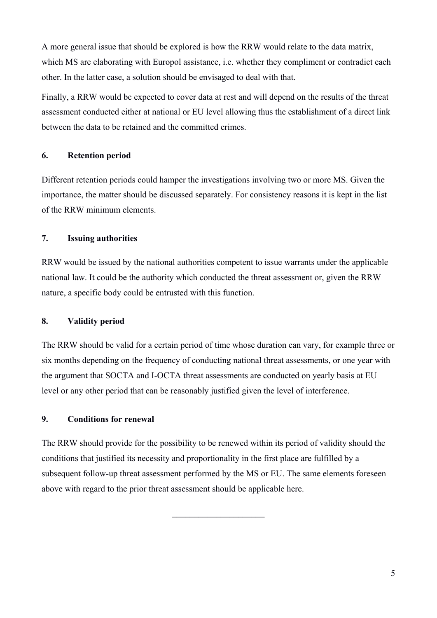A more general issue that should be explored is how the RRW would relate to the data matrix, which MS are elaborating with Europol assistance, i.e. whether they compliment or contradict each other. In the latter case, a solution should be envisaged to deal with that.

Finally, a RRW would be expected to cover data at rest and will depend on the results of the threat assessment conducted either at national or EU level allowing thus the establishment of a direct link between the data to be retained and the committed crimes.

## **6. Retention period**

Different retention periods could hamper the investigations involving two or more MS. Given the importance, the matter should be discussed separately. For consistency reasons it is kept in the list of the RRW minimum elements.

## **7. Issuing authorities**

RRW would be issued by the national authorities competent to issue warrants under the applicable national law. It could be the authority which conducted the threat assessment or, given the RRW nature, a specific body could be entrusted with this function.

### **8. Validity period**

The RRW should be valid for a certain period of time whose duration can vary, for example three or six months depending on the frequency of conducting national threat assessments, or one year with the argument that SOCTA and I-OCTA threat assessments are conducted on yearly basis at EU level or any other period that can be reasonably justified given the level of interference.

### **9. Conditions for renewal**

The RRW should provide for the possibility to be renewed within its period of validity should the conditions that justified its necessity and proportionality in the first place are fulfilled by a subsequent follow-up threat assessment performed by the MS or EU. The same elements foreseen above with regard to the prior threat assessment should be applicable here.

 $\overline{\phantom{a}}$  , where  $\overline{\phantom{a}}$